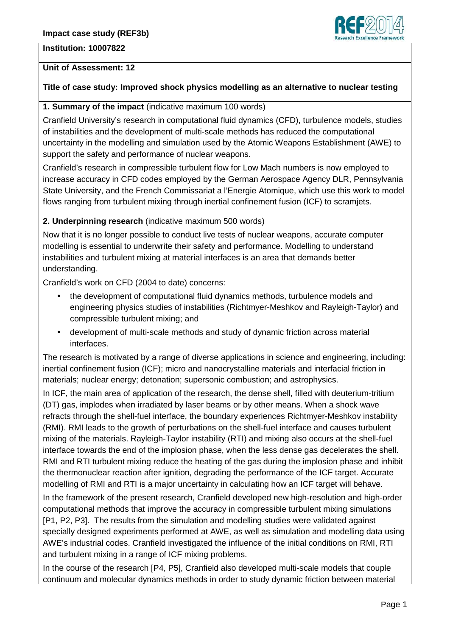#### **Institution: 10007822**



#### **Unit of Assessment: 12**

## **Title of case study: Improved shock physics modelling as an alternative to nuclear testing**

## **1. Summary of the impact** (indicative maximum 100 words)

Cranfield University's research in computational fluid dynamics (CFD), turbulence models, studies of instabilities and the development of multi-scale methods has reduced the computational uncertainty in the modelling and simulation used by the Atomic Weapons Establishment (AWE) to support the safety and performance of nuclear weapons.

Cranfield's research in compressible turbulent flow for Low Mach numbers is now employed to increase accuracy in CFD codes employed by the German Aerospace Agency DLR, Pennsylvania State University, and the French Commissariat a l'Energie Atomique, which use this work to model flows ranging from turbulent mixing through inertial confinement fusion (ICF) to scramjets.

## **2. Underpinning research** (indicative maximum 500 words)

Now that it is no longer possible to conduct live tests of nuclear weapons, accurate computer modelling is essential to underwrite their safety and performance. Modelling to understand instabilities and turbulent mixing at material interfaces is an area that demands better understanding.

Cranfield's work on CFD (2004 to date) concerns:

- the development of computational fluid dynamics methods, turbulence models and engineering physics studies of instabilities (Richtmyer-Meshkov and Rayleigh-Taylor) and compressible turbulent mixing; and
- development of multi-scale methods and study of dynamic friction across material interfaces.

The research is motivated by a range of diverse applications in science and engineering, including: inertial confinement fusion (ICF); micro and nanocrystalline materials and interfacial friction in materials; nuclear energy; detonation; supersonic combustion; and astrophysics.

In ICF, the main area of application of the research, the dense shell, filled with deuterium-tritium (DT) gas, implodes when irradiated by laser beams or by other means. When a shock wave refracts through the shell-fuel interface, the boundary experiences Richtmyer-Meshkov instability (RMI). RMI leads to the growth of perturbations on the shell-fuel interface and causes turbulent mixing of the materials. Rayleigh-Taylor instability (RTI) and mixing also occurs at the shell-fuel interface towards the end of the implosion phase, when the less dense gas decelerates the shell. RMI and RTI turbulent mixing reduce the heating of the gas during the implosion phase and inhibit the thermonuclear reaction after ignition, degrading the performance of the ICF target. Accurate modelling of RMI and RTI is a major uncertainty in calculating how an ICF target will behave.

In the framework of the present research, Cranfield developed new high-resolution and high-order computational methods that improve the accuracy in compressible turbulent mixing simulations [P1, P2, P3]. The results from the simulation and modelling studies were validated against specially designed experiments performed at AWE, as well as simulation and modelling data using AWE's industrial codes. Cranfield investigated the influence of the initial conditions on RMI, RTI and turbulent mixing in a range of ICF mixing problems.

In the course of the research [P4, P5], Cranfield also developed multi-scale models that couple continuum and molecular dynamics methods in order to study dynamic friction between material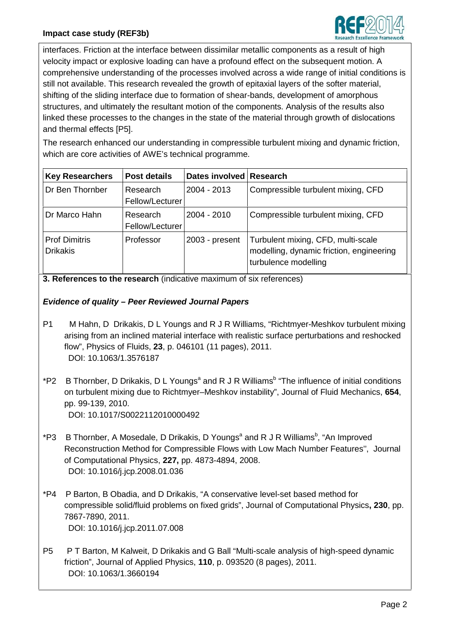

interfaces. Friction at the interface between dissimilar metallic components as a result of high velocity impact or explosive loading can have a profound effect on the subsequent motion. A comprehensive understanding of the processes involved across a wide range of initial conditions is still not available. This research revealed the growth of epitaxial layers of the softer material, shifting of the sliding interface due to formation of shear-bands, development of amorphous structures, and ultimately the resultant motion of the components. Analysis of the results also linked these processes to the changes in the state of the material through growth of dislocations and thermal effects [P5].

The research enhanced our understanding in compressible turbulent mixing and dynamic friction, which are core activities of AWE's technical programme.

| <b>Key Researchers</b>                  | <b>Post details</b>         | Dates involved Research |                                                                                                        |
|-----------------------------------------|-----------------------------|-------------------------|--------------------------------------------------------------------------------------------------------|
| Dr Ben Thornber                         | Research<br>Fellow/Lecturer | 2004 - 2013             | Compressible turbulent mixing, CFD                                                                     |
| Dr Marco Hahn                           | Research<br>Fellow/Lecturer | $2004 - 2010$           | Compressible turbulent mixing, CFD                                                                     |
| <b>Prof Dimitris</b><br><b>Drikakis</b> | Professor                   | 2003 - present          | Turbulent mixing, CFD, multi-scale<br>modelling, dynamic friction, engineering<br>turbulence modelling |

**3. References to the research** (indicative maximum of six references)

# *Evidence of quality – Peer Reviewed Journal Papers*

- P1 M Hahn, D Drikakis, D L Youngs and R J R Williams, "Richtmyer-Meshkov turbulent mixing arising from an inclined material interface with realistic surface perturbations and reshocked flow", Physics of Fluids, **23**, p. 046101 (11 pages), 2011. DOI: 10.1063/1.3576187
- \*P2 B Thornber, D Drikakis, D L Youngs<sup>a</sup> and R J R Williams<sup>b</sup> "The influence of initial conditions and on turbulent mixing due to Richtmyer–Meshkov instability", Journal of Fluid Mechanics, **654**, pp. 99-139, 2010. DOI: 10.1017/S0022112010000492
- \*P3 B Thornber, A Mosedale, D Drikakis, D Youngs<sup>a</sup> and R J R Williams<sup>b</sup>, "An Improved Reconstruction Method for Compressible Flows with Low Mach Number Features'', Journal of Computational Physics, **227,** pp. 4873-4894, 2008. DOI: 10.1016/j.jcp.2008.01.036
- \*P4 P Barton, B Obadia, and D Drikakis, "A conservative level-set based method for compressible solid/fluid problems on fixed grids", Journal of Computational Physics**, 230**, pp. 7867-7890, 2011. DOI: 10.1016/j.jcp.2011.07.008
- P5 P T Barton, M Kalweit, D Drikakis and G Ball "Multi-scale analysis of high-speed dynamic friction", Journal of Applied Physics, **110**, p. 093520 (8 pages), 2011. DOI: 10.1063/1.3660194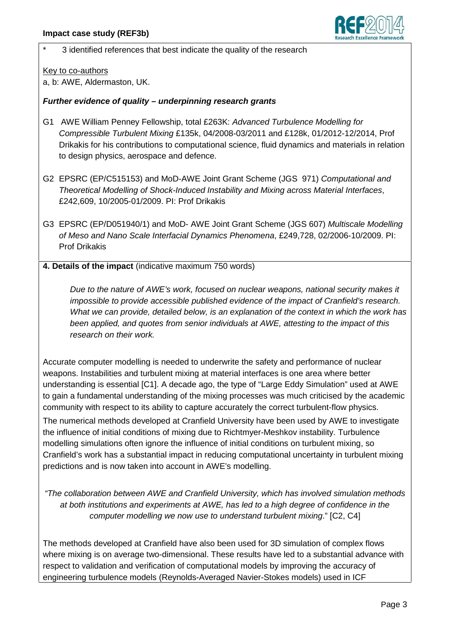

3 identified references that best indicate the quality of the research

Key to co-authors

a, b: AWE, Aldermaston, UK.

## *Further evidence of quality – underpinning research grants*

- G1 AWE William Penney Fellowship, total £263K: *Advanced Turbulence Modelling for Compressible Turbulent Mixing* £135k, 04/2008-03/2011 and £128k, 01/2012-12/2014, Prof Drikakis for his contributions to computational science, fluid dynamics and materials in relation to design physics, aerospace and defence.
- G2 EPSRC (EP/C515153) and MoD-AWE Joint Grant Scheme (JGS 971) *Computational and Theoretical Modelling of Shock-Induced Instability and Mixing across Material Interfaces*, £242,609, 10/2005-01/2009. PI: Prof Drikakis
- G3 EPSRC (EP/D051940/1) and MoD- AWE Joint Grant Scheme (JGS 607) *Multiscale Modelling of Meso and Nano Scale Interfacial Dynamics Phenomena*, £249,728, 02/2006-10/2009. PI: Prof Drikakis

**4. Details of the impact** (indicative maximum 750 words)

*Due to the nature of AWE's work, focused on nuclear weapons, national security makes it impossible to provide accessible published evidence of the impact of Cranfield's research. What we can provide, detailed below, is an explanation of the context in which the work has been applied, and quotes from senior individuals at AWE, attesting to the impact of this research on their work.*

Accurate computer modelling is needed to underwrite the safety and performance of nuclear weapons. Instabilities and turbulent mixing at material interfaces is one area where better understanding is essential [C1]. A decade ago, the type of "Large Eddy Simulation" used at AWE to gain a fundamental understanding of the mixing processes was much criticised by the academic community with respect to its ability to capture accurately the correct turbulent-flow physics.

The numerical methods developed at Cranfield University have been used by AWE to investigate the influence of initial conditions of mixing due to Richtmyer-Meshkov instability. Turbulence modelling simulations often ignore the influence of initial conditions on turbulent mixing, so Cranfield's work has a substantial impact in reducing computational uncertainty in turbulent mixing predictions and is now taken into account in AWE's modelling.

*"The collaboration between AWE and Cranfield University, which has involved simulation methods at both institutions and experiments at AWE, has led to a high degree of confidence in the computer modelling we now use to understand turbulent mixing*." [C2, C4]

The methods developed at Cranfield have also been used for 3D simulation of complex flows where mixing is on average two-dimensional. These results have led to a substantial advance with respect to validation and verification of computational models by improving the accuracy of engineering turbulence models (Reynolds-Averaged Navier-Stokes models) used in ICF